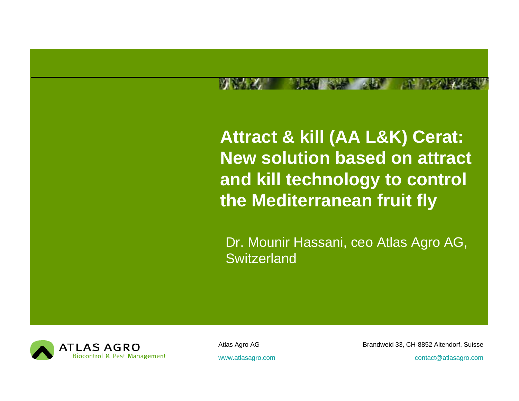**Attract & kill (AA L&K) Cerat: New solution based on attract and kill t h l t d tec hnology to cont l ro the Mediterranean fruit fly**

Dr. Mounir Hassani, ceo Atlas Agro AG, **Switzerland** 



Atlas Agro AG Brandweid 33, CH-8852 Altendorf, Suisse

www.atlasagro.com example and contact atlasagro.com contact atlasagro.com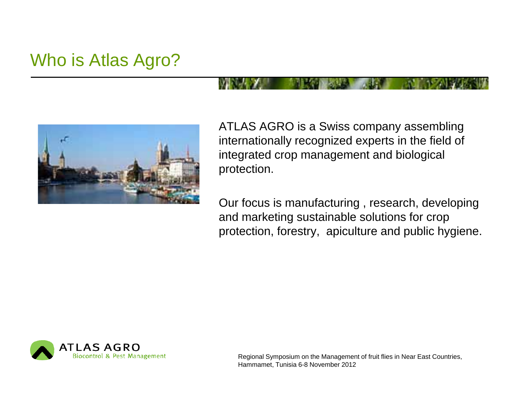## Who is Atlas Agro?



ATLAS AGRO is a Swiss company assembling internationally recognized experts in the field of integrated crop management and biological protection.

Our focus is manufacturing , research, developing and marketing sustainable solutions for crop protection, forestry, apiculture and public hygiene.

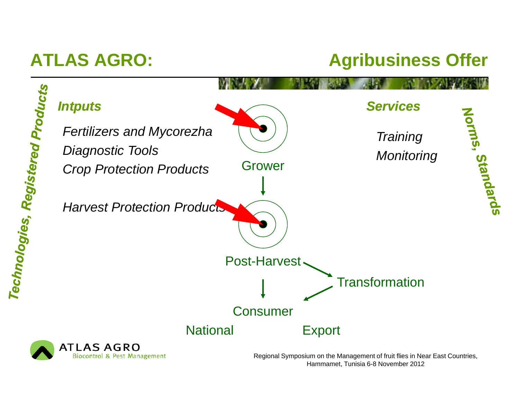## **ATLAS AGRO: Agribusiness Offer**



**ATLAS AGRO Biocontrol & Pest Management**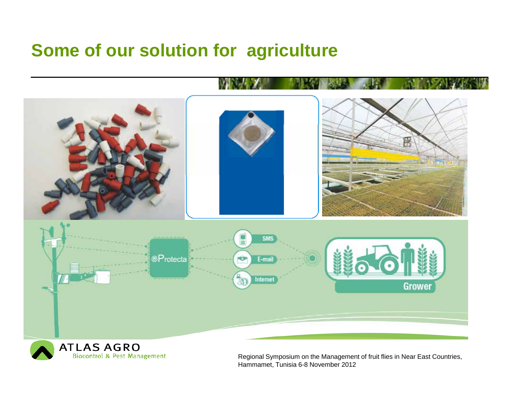## **Some of our solution for agriculture**



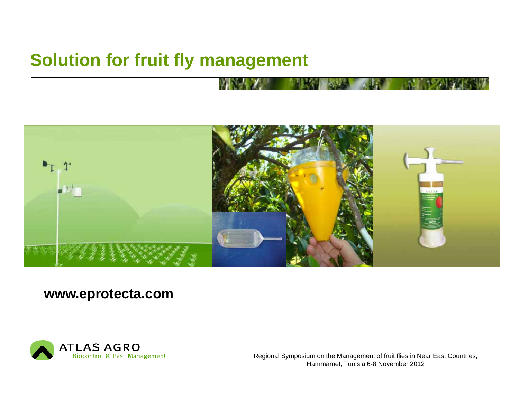## **Solution for fruit fly management**



### **www.eprotecta.com**

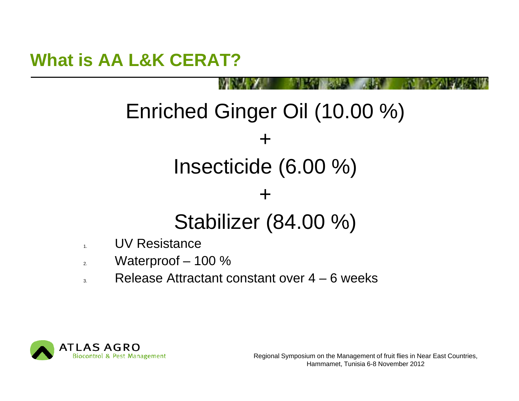## **What is AA L&K CERAT?**

# Enriched Ginger Oil (10.00 %)

+

# Insecticide (6.00 %)

## Stabilizer (84.00 %)

+

- 1.UV Resistance
- $\overline{2}$ Waterproof – 100 %
- 3. $\blacksquare$  Release Attractant constant over 4 – 6 weeks

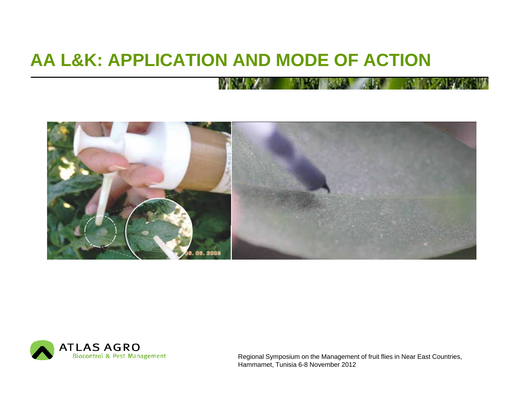## **AA L&K: APPLICATION AND MODE OF ACTION**



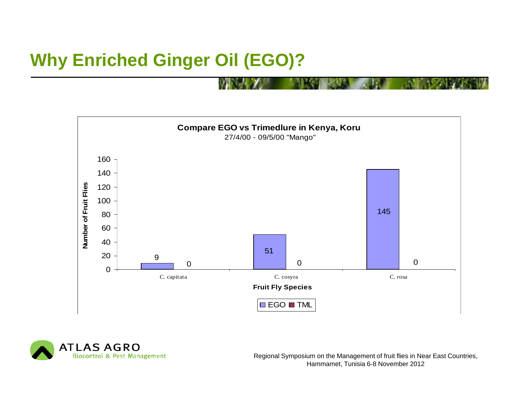## **Why Enriched Ginger Oil (EGO)?**



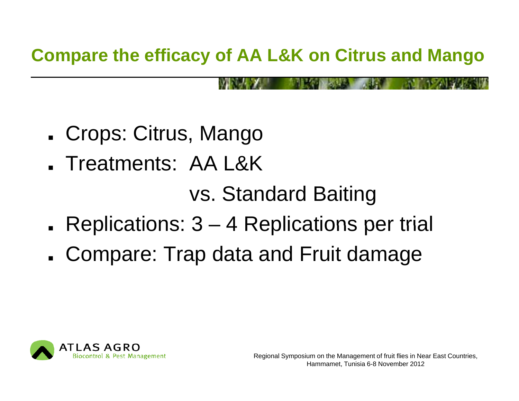## **Compare the efficacy of AA L&K on Citrus and Mango**

- Crops: Citrus, Mango
- **.** Treatments: AA L&K

vs. Standard Baiting

- **.** Replications: 3 and the state of the 4 Replications per trial
- Compare: Trap data and Fruit damage

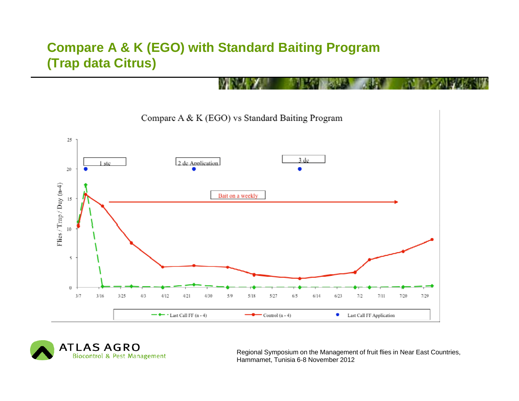### **Compare A & K (EGO) with Standard Baiting Program (Trap data Citrus)**



**ATLAS AGRO Biocontrol & Pest Management**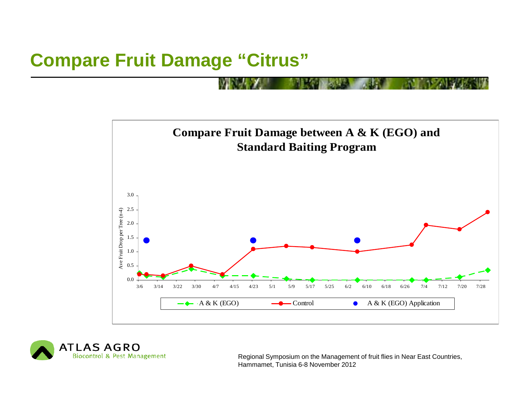## **Compare Fruit Damage "Citrus"**



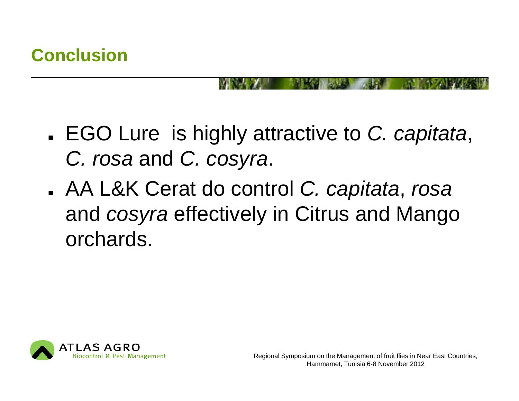- EGO Lure is highly attractive to *C. capitata*, *C. rosa* and *C. cosyra*.
- AA L&K Cerat do control *C. capitata*, *rosa* and *cosyra* effectively in Citrus and Mango orchards.

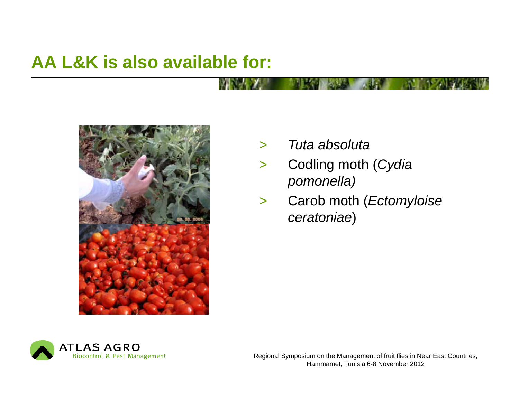## **AA L&K is also available for:**



- $\geq$ *Tuta absoluta*
- > Codling moth (*Cydia pomonella)*
- > Carob moth (*Ectomyloise ceratoniae*)